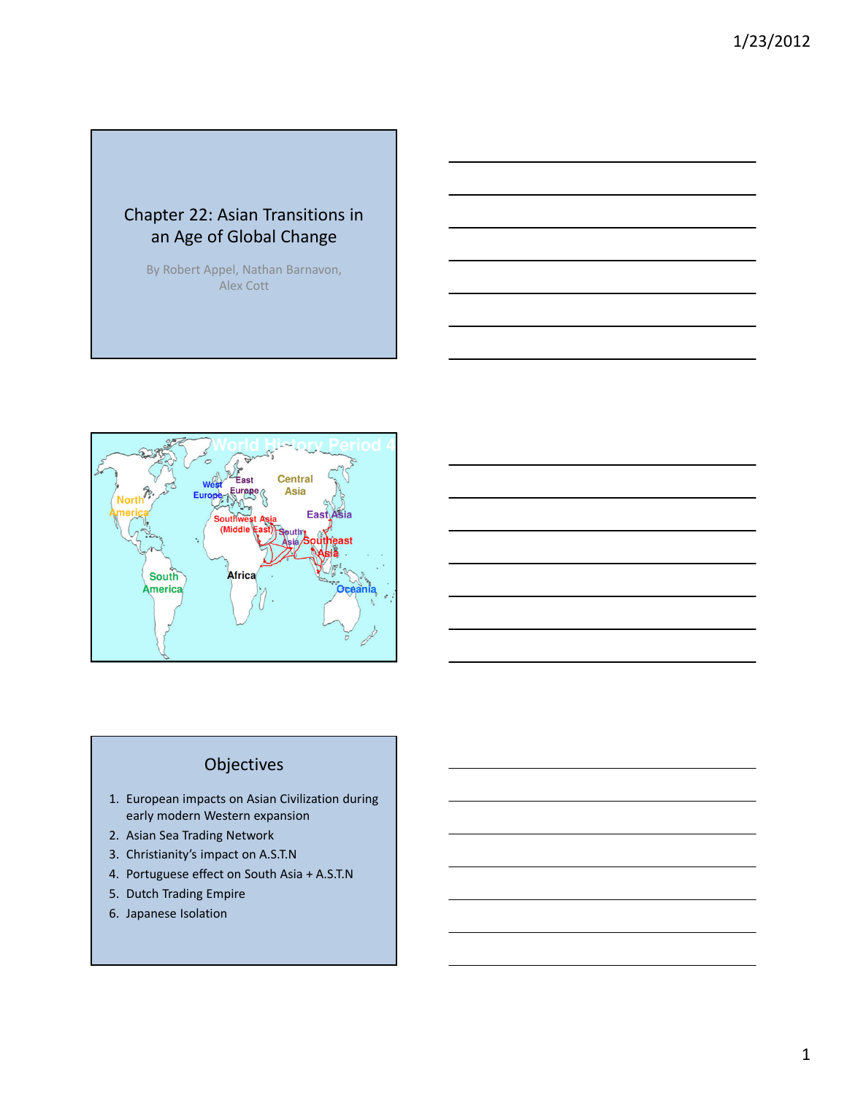# Chapter 22: Asian Transitions in an Age of Global Change

By Robert Appel, Nathan Barnavon, Alex Cott



## Objectives

- 1. European impacts on Asian Civilization during early modern Western expansion
- 2. Asian Sea Trading Network
- 3. Christianity's impact on A.S.T.N
- 4. Portuguese effect on South Asia + A.S.T.N
- 5. Dutch Trading Empire
- 6. Japanese Isolation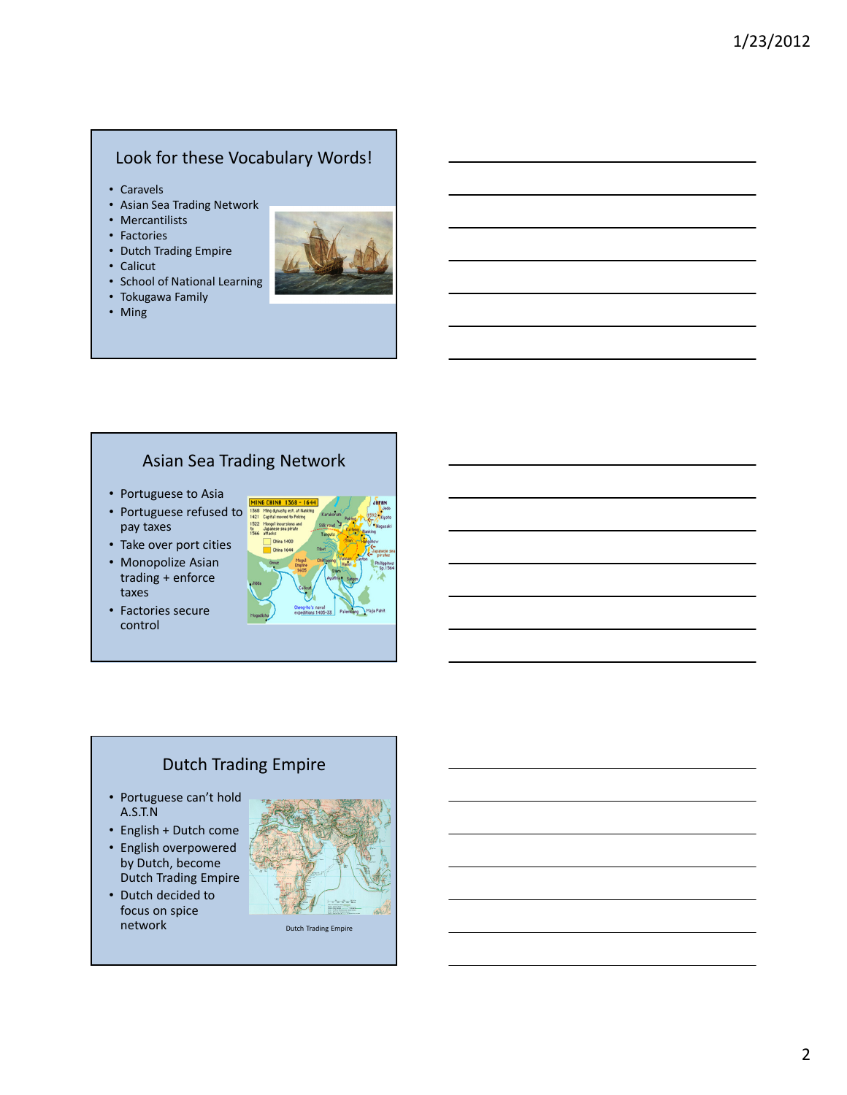## Look for these Vocabulary Words!

- Caravels
- Asian Sea Trading Network
- Mercantilists
- Factories
- Dutch Trading Empire
- Calicut
- School of National Learning
- Tokugawa Family
- Ming



# Asian Sea Trading Network

- Portuguese to Asia
- Portuguese refused to 1368 pay taxes
- Take over port cities
- Monopolize Asian trading + enforce taxes
- Factories secure control



# Dutch Trading Empire

- Portuguese can't hold A.S.T.N
- English + Dutch come
- English overpowered by Dutch, become
- Dutch Trading Empire • Dutch decided to focus on spice



Dutch Trading Empire

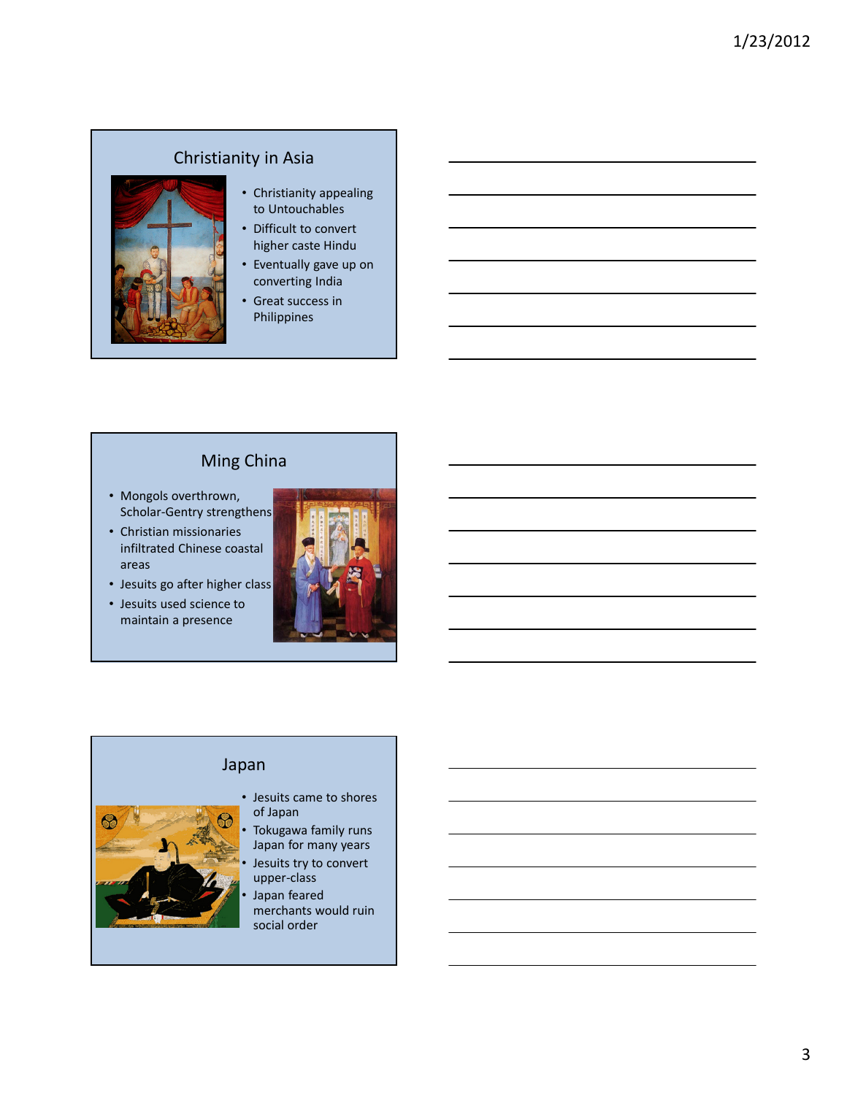# Christianity in Asia



#### • Christianity appealing to Untouchables

- Difficult to convert higher caste Hindu
- Eventually gave up on converting India
- Great success in Philippines

# Ming China

- Mongols overthrown, Scholar-Gentry strengthens
- Christian missionaries infiltrated Chinese coastal areas
- Jesuits go after higher class
- Jesuits used science to maintain a presence



## Japan



- Jesuits came to shores of Japan
- Tokugawa family runs Japan for many years Jesuits try to convert upper-class
- Japan feared merchants would ruin social order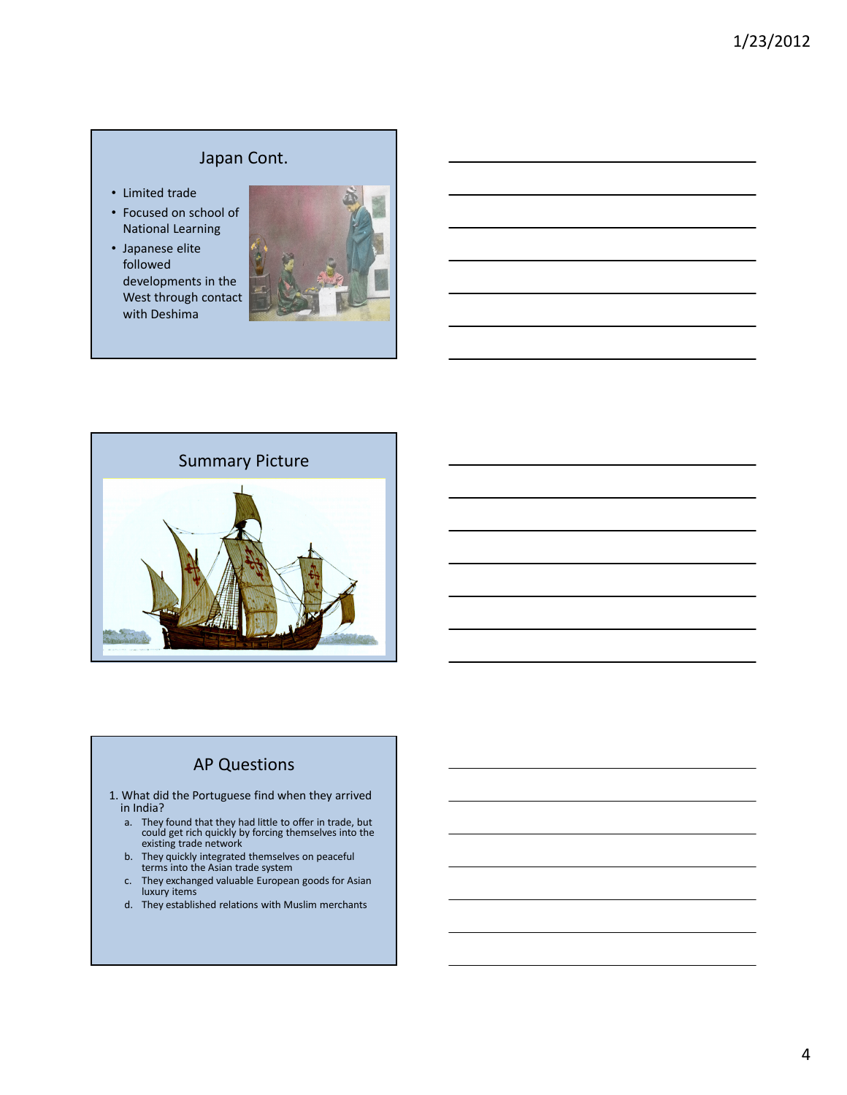## Japan Cont.

- Limited trade
- Focused on school of National Learning
- Japanese elite followed developments in the West through contact with Deshima





# AP Questions

- 1. What did the Portuguese find when they arrived in India?
	- a. They found that they had little to offer in trade, but could get rich quickly by forcing themselves into the existing trade network
	- b. They quickly integrated themselves on peaceful terms into the Asian trade system
	- c. They exchanged valuable European goods for Asian luxury items
	- d. They established relations with Muslim merchants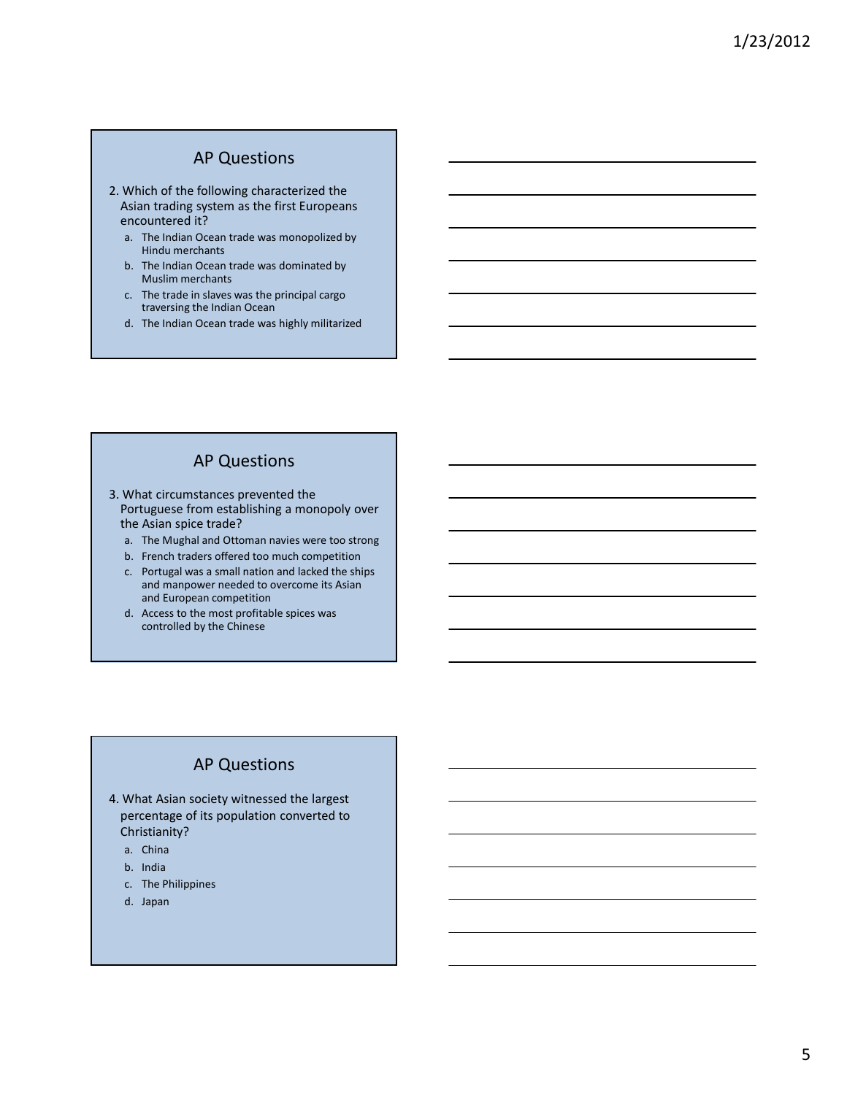#### AP Questions

- 2. Which of the following characterized the Asian trading system as the first Europeans encountered it?
	- a. The Indian Ocean trade was monopolized by Hindu merchants
	- b. The Indian Ocean trade was dominated by Muslim merchants
	- c. The trade in slaves was the principal cargo traversing the Indian Ocean
	- d. The Indian Ocean trade was highly militarized

## AP Questions

- 3. What circumstances prevented the Portuguese from establishing a monopoly over the Asian spice trade?
	- a. The Mughal and Ottoman navies were too strong
	- b. French traders offered too much competition
	- c. Portugal was a small nation and lacked the ships and manpower needed to overcome its Asian and European competition
	- d. Access to the most profitable spices was controlled by the Chinese

#### AP Questions

- 4. What Asian society witnessed the largest percentage of its population converted to Christianity?
	- a. China
	- b. India
	- c. The Philippines
	- d. Japan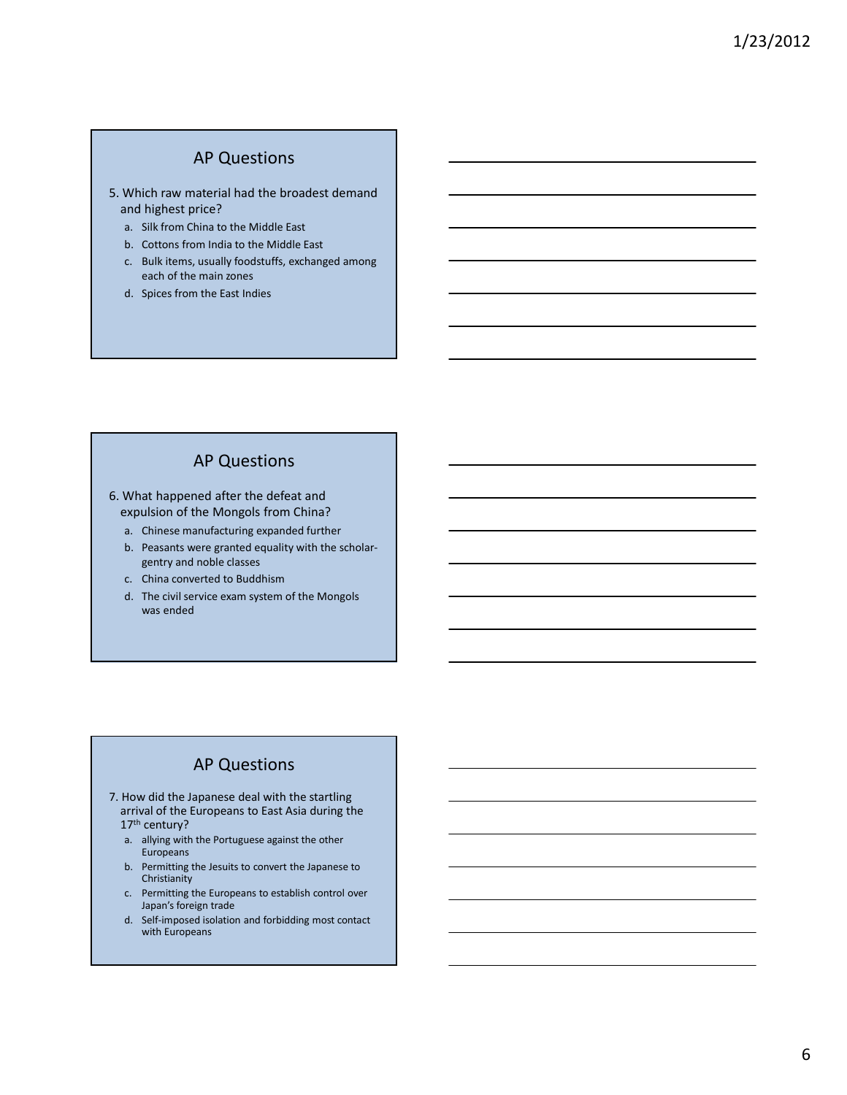## AP Questions

- 5. Which raw material had the broadest demand and highest price?
	- a. Silk from China to the Middle East
	- b. Cottons from India to the Middle East
	- c. Bulk items, usually foodstuffs, exchanged among each of the main zones
	- d. Spices from the East Indies

## AP Questions

- 6. What happened after the defeat and expulsion of the Mongols from China?
	- a. Chinese manufacturing expanded further
	- b. Peasants were granted equality with the scholargentry and noble classes
	- c. China converted to Buddhism
	- d. The civil service exam system of the Mongols was ended

## AP Questions

- 7. How did the Japanese deal with the startling arrival of the Europeans to East Asia during the 17th century?
	- a. allying with the Portuguese against the other Europeans
	- b. Permitting the Jesuits to convert the Japanese to Christianity
	- c. Permitting the Europeans to establish control over Japan's foreign trade
	- d. Self-imposed isolation and forbidding most contact with Europeans